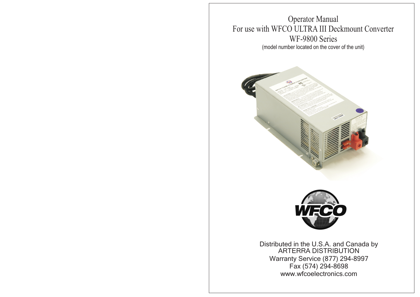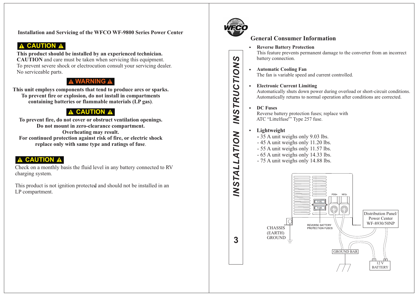**Installation and Servicing of the WFCO WF-9800 Series Power Center**

# **A CAUTION A**

**This product should be installed by an experienced technician. CAUTION** and care must be taken when servicing this equipment. To prevent severe shock or electrocution consult your servicing dealer. No serviceable parts.

# **A WARNING A**

**This unit employs components that tend to produce arcs or sparks. To prevent fire or explosion, do not install in compartments containing batteries or flammable materials (LP gas)**.

# **CAUTION A**

**To prevent fire, do not cover or obstruct ventilation openings. Do not mount in zero-clearance compartment. Overheating may result. For continued protection against risk of fire, or electric shock replace only with same type and ratings of fuse**.

# **CAUTION**

Check on a monthly basis the fluid level in any battery connected to RV charging system.

® This product is not ignition protected and should not be installed in an LP compartment.



**STRUCTIONS** 

<u>iv</u>

# **General Consumer Information**

#### $\bullet$  **Reverse Battery Protection**

This feature prevents permanent damage to the converter from an incorrect battery connection.

 **Automatic Cooling Fan**  $\bullet$ The fan is variable speed and current controlled.

# **Electronic Current Limiting**

Automatically shuts down power during overload or short-circuit conditions. Automatically returns to normal operation after conditions are corrected.

## **DC Fuses**

 Reverse battery protection fuses; replace with ATC "Littelfuse<sup>®</sup>" Type 257 fuse.

#### **Lightweight**  $\bullet$

- 35 A unit weighs only 9.03 lbs.
- 45 A unit weighs only 11.20 lbs.
- 55 A unit weighs only 11.57 lbs.
- 65 A unit weighs only 14.33 lbs.
- 75 A unit weighs only 14.88 lbs.

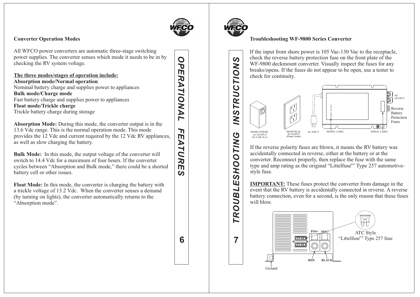

# **Converter Operation Modes**

All WFCO power converters are automatic three-stage switching power supplies. The converter senses which mode it needs to be in by checking the RV system voltage.

### **The three modes/stages of operation include:**

**Absorption mode/Normal operation** Nominal battery charge and supplies power to appliances **Bulk mode/Charge mode** Fast battery charge and supplies power to appliances **Float mode/Trickle charge** Trickle battery charge during storage

**Absorption Mode:** During this mode, the converter output is in the 13.6 Vdc range. This is the normal operation mode. This mode provides the 12 Vdc and current required by the 12 Vdc RV appliances, as well as slow charging the battery.

**Bulk Mode:** In this mode, the output voltage of the converter will switch to 14.4 Vdc for a maximum of four hours. If the converter cycles between "Absorption and Bulk mode," there could be a shorted battery cell or other issues.

**Float Mode:** In this mode, the converter is charging the battery with a trickle voltage of 13.2 Vdc. When the converter senses a demand (by turning on lights), the converter automatically returns to the "Absorption mode".

 $\mathbf O$ **6***OPERATIONAL FEATURES* ĎЕ RATIONAL ከ m ATURE  $\overline{a}$ 

6



 $\boldsymbol{\omega}$ 

**INSTRUCTION** 

**SHOOTING** 

**ROUBLE** 

 $\overline{7}$ 

## **Troubleshooting WF-9800 Series Converter**

If the input from shore power is 105 Vac-130 Vac to the receptacle, check the reverse battery protection fuse on the front plate of the WF-9800 deckmount converter. Visually inspect the fuses for any breaks/opens. If the fuses do not appear to be open, use a tester to check for continuity.





If the reverse polarity fuses are blown, it means the RV battery was accidentally connected in reverse, either at the battery or at the converter. Reconnect properly, then replace the fuse with the same type and amp rating as the original "Littelfuse<sup>®</sup>" Type 257 automotivestyle fuse.

. will blow **IMPORTANT:** These fuses protect the converter from damage in the event that the RV battery is accidentally connected in reverse. A reverse battery connection, even for a second, is the only reason that these fuses

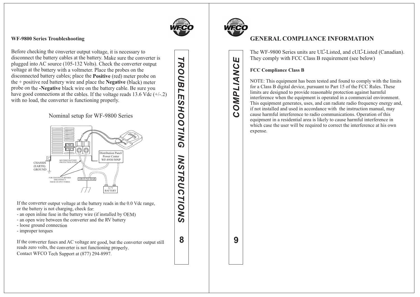

### **WF-9800 Series Troubleshooting**

Before checking the converter output voltage, it is necessary to disconnect the battery cables at the battery. Make sure the converter is plugged into AC source (105-132 Volts). Check the converter output voltage at the battery with a voltmeter. Place the probes on the disconnected battery cables; place the **Positive** (red) meter probe on the + positive red battery wire and place the **Negative** (black) meter probe on the **-Negative** black wire on the battery cable. Be sure you have good connections at the cables. If the voltage reads 13.6 Vdc  $(+/-2)$ with no load, the converter is functioning properly.

Nominal setup for WF-9800 Series



If the converter output voltage at the battery reads in the 0.0 Vdc range, or the battery is not charging, check for:

- an open inline fuse in the battery wire (if installed by OEM)
- an open wire between the converter and the RV battery
- loose ground connection
- improper torques

If the converter fuses and AC voltage are good, but the converter output still reads zero volts, the converter is not functioning properly. Contact WFCO Tech Support at (877) 294-8997.

**TROUBL 8***TROUBLESHOOTING INSTRUCTIONS* İm **SHOOTING** INSTRUCTIONS 8



Щ

OMPLIANC

 $\mathbf{\Omega}$ 

# **GENERAL COMPLIANCE INFORMATION**

The WF-9800 Series units are UL<sup>®</sup>-Listed, and cUL<sup>®</sup>-Listed (Canadian). They comply with FCC Class B requirement (see below)

## **FCC Compliance Class B**

NOTE: This equipment has been tested and found to comply with the limits for a Class B digital device, pursuant to Part 15 of the FCC Rules. These limits are designed to provide reasonable protection against harmful interference when the equipment is operated in a commercial environment. This equipment generates, uses, and can radiate radio frequency energy and, if not installed and used in accordance with the instruction manual, may cause harmful interference to radio communications. Operation of this equipment in a residential area is likely to cause harmful interference in which case the user will be required to correct the interference at his own expense.

**9***COMPLIANCE* 9